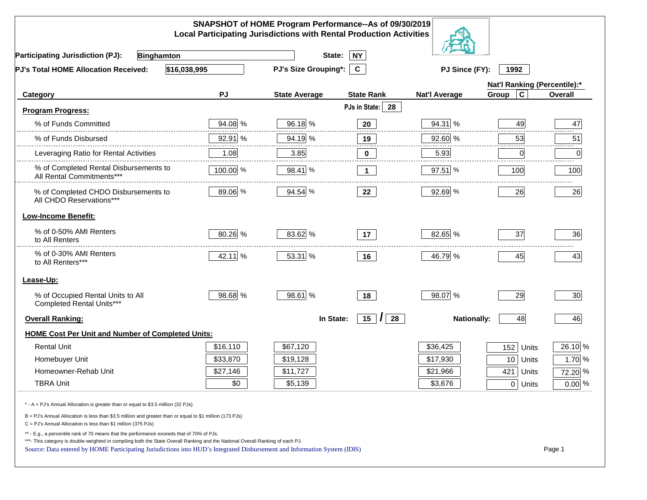|                                                                                                                                                                                                                                                                                                                                                          |          | SNAPSHOT of HOME Program Performance--As of 09/30/2019<br><b>Local Participating Jurisdictions with Rental Production Activities</b> |                                     |                      |                              |          |
|----------------------------------------------------------------------------------------------------------------------------------------------------------------------------------------------------------------------------------------------------------------------------------------------------------------------------------------------------------|----------|--------------------------------------------------------------------------------------------------------------------------------------|-------------------------------------|----------------------|------------------------------|----------|
| <b>Participating Jurisdiction (PJ):</b><br>Binghamton                                                                                                                                                                                                                                                                                                    |          | State:                                                                                                                               | <b>NY</b>                           |                      |                              |          |
| \$16,038,995<br><b>PJ's Total HOME Allocation Received:</b>                                                                                                                                                                                                                                                                                              |          | <b>PJ's Size Grouping*:</b>                                                                                                          | $\mathbf{C}$                        | PJ Since (FY):       | 1992                         |          |
|                                                                                                                                                                                                                                                                                                                                                          |          |                                                                                                                                      |                                     |                      | Nat'l Ranking (Percentile):* |          |
| Category                                                                                                                                                                                                                                                                                                                                                 | PJ       | <b>State Average</b>                                                                                                                 | <b>State Rank</b>                   | <b>Nat'l Average</b> | $\mathbf c$<br>Group         | Overall  |
| <b>Program Progress:</b>                                                                                                                                                                                                                                                                                                                                 |          |                                                                                                                                      | PJs in State: 28                    |                      |                              |          |
| % of Funds Committed                                                                                                                                                                                                                                                                                                                                     | 94.08 %  | 96.18 %                                                                                                                              | 20                                  | 94.31 %              | 49                           | 47       |
| % of Funds Disbursed                                                                                                                                                                                                                                                                                                                                     | 92.91 %  | 94.19 %                                                                                                                              | 19                                  | 92.60 %              | 53                           | 51       |
| Leveraging Ratio for Rental Activities                                                                                                                                                                                                                                                                                                                   | 1.08     | 3.85                                                                                                                                 | 0                                   | 5.93                 | 0                            | .<br>0   |
| % of Completed Rental Disbursements to<br>All Rental Commitments***                                                                                                                                                                                                                                                                                      | 100.00 % | 98.41 %                                                                                                                              | $\blacktriangleleft$                | 97.51 %              | 100                          | 100      |
| % of Completed CHDO Disbursements to<br>All CHDO Reservations***                                                                                                                                                                                                                                                                                         | 89.06 %  | 94.54 %                                                                                                                              | 22                                  | 92.69 %              | 26                           | 26       |
| <b>Low-Income Benefit:</b>                                                                                                                                                                                                                                                                                                                               |          |                                                                                                                                      |                                     |                      |                              |          |
| % of 0-50% AMI Renters<br>to All Renters                                                                                                                                                                                                                                                                                                                 | 80.26 %  | 83.62 %                                                                                                                              | 17                                  | 82.65 %              | 37                           | 36       |
| % of 0-30% AMI Renters<br>to All Renters***                                                                                                                                                                                                                                                                                                              | 42.11 %  | 53.31 %                                                                                                                              | 16                                  | 46.79 %              | 45                           | 43       |
| Lease-Up:                                                                                                                                                                                                                                                                                                                                                |          |                                                                                                                                      |                                     |                      |                              |          |
| % of Occupied Rental Units to All<br>Completed Rental Units***                                                                                                                                                                                                                                                                                           | 98.68 %  | 98.61 %                                                                                                                              | 18                                  | 98.07 %              | 29                           | 30       |
| <b>Overall Ranking:</b>                                                                                                                                                                                                                                                                                                                                  |          | In State:                                                                                                                            | $15$ $\overline{\phantom{1}}$<br>28 | <b>Nationally:</b>   | 48                           | 46       |
| <b>HOME Cost Per Unit and Number of Completed Units:</b>                                                                                                                                                                                                                                                                                                 |          |                                                                                                                                      |                                     |                      |                              |          |
| <b>Rental Unit</b>                                                                                                                                                                                                                                                                                                                                       | \$16,110 | \$67,120                                                                                                                             |                                     | \$36,425             | 152<br>Units                 | 26.10 %  |
| Homebuyer Unit                                                                                                                                                                                                                                                                                                                                           | \$33,870 | \$19,128                                                                                                                             |                                     | \$17,930             | 10 Units                     | 1.70 %   |
| Homeowner-Rehab Unit                                                                                                                                                                                                                                                                                                                                     | \$27,146 | \$11,727                                                                                                                             |                                     | \$21,966             | 421<br>Units                 | 72.20 %  |
| <b>TBRA Unit</b>                                                                                                                                                                                                                                                                                                                                         | \$0      | \$5,139                                                                                                                              |                                     | \$3,676              | $0$ Units                    | $0.00\%$ |
| * - A = PJ's Annual Allocation is greater than or equal to \$3.5 million (32 PJs)                                                                                                                                                                                                                                                                        |          |                                                                                                                                      |                                     |                      |                              |          |
| B = PJ's Annual Allocation is less than \$3.5 million and greater than or equal to \$1 million (173 PJs)<br>$C = PJ's$ Annual Allocation is less than \$1 million (375 PJs)                                                                                                                                                                              |          |                                                                                                                                      |                                     |                      |                              |          |
| ** - E.g., a percentile rank of 70 means that the performance exceeds that of 70% of PJs.<br>***- This category is double-weighted in compiling both the State Overall Ranking and the National Overall Ranking of each PJ.<br>Source: Data entered by HOME Participating Jurisdictions into HUD's Integrated Disbursement and Information System (IDIS) |          |                                                                                                                                      |                                     |                      |                              | Page 1   |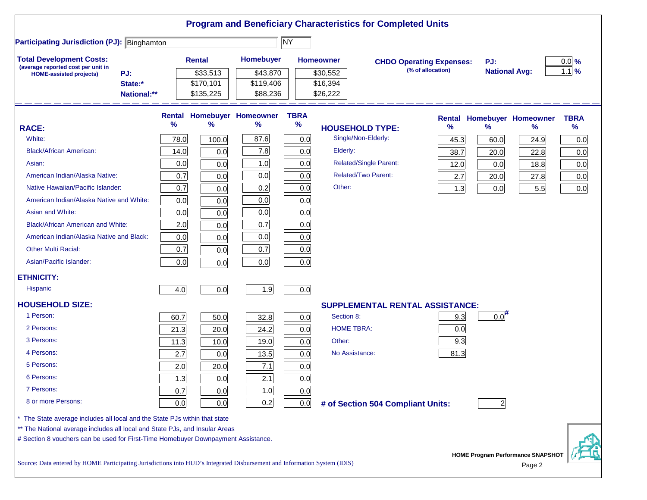|                                                                                                                           |               |                           |                                        |                     |                              | <b>Program and Beneficiary Characteristics for Completed Units</b> |                                                      |                             |                                           |                     |
|---------------------------------------------------------------------------------------------------------------------------|---------------|---------------------------|----------------------------------------|---------------------|------------------------------|--------------------------------------------------------------------|------------------------------------------------------|-----------------------------|-------------------------------------------|---------------------|
| <b>Participating Jurisdiction (PJ): Binghamton</b>                                                                        |               |                           |                                        | <b>NY</b>           |                              |                                                                    |                                                      |                             |                                           |                     |
| <b>Total Development Costs:</b><br>(average reported cost per unit in<br>PJ:<br><b>HOME-assisted projects)</b>            |               | <b>Rental</b><br>\$33,513 | Homebuyer<br>\$43,870                  |                     | <b>Homeowner</b><br>\$30,552 |                                                                    | <b>CHDO Operating Expenses:</b><br>(% of allocation) | PJ:<br><b>National Avg:</b> |                                           | $0.0\%$<br>1.1%     |
| State:*<br>National:**                                                                                                    |               | \$170,101<br>\$135,225    | \$119,406<br>\$88,236                  |                     | \$16,394<br>\$26,222         |                                                                    |                                                      |                             |                                           |                     |
| <b>RACE:</b>                                                                                                              | $\frac{9}{6}$ | $\frac{9}{6}$             | <b>Rental Homebuyer Homeowner</b><br>% | <b>TBRA</b><br>$\%$ |                              | <b>HOUSEHOLD TYPE:</b>                                             | %                                                    | $\frac{9}{6}$               | <b>Rental Homebuyer Homeowner</b><br>$\%$ | <b>TBRA</b><br>$\%$ |
| White:                                                                                                                    | 78.0          | 100.0                     | 87.6                                   | 0.0                 |                              | Single/Non-Elderly:                                                | 45.3                                                 | 60.0                        | 24.9                                      | 0.0                 |
| <b>Black/African American:</b>                                                                                            | 14.0          | 0.0                       | 7.8                                    | 0.0                 | Elderly:                     |                                                                    | 38.7                                                 | 20.0                        | 22.8                                      | 0.0                 |
| Asian:                                                                                                                    | 0.0           | 0.0                       | 1.0                                    | 0.0                 |                              | Related/Single Parent:                                             | 12.0                                                 | 0.0                         | 18.8                                      | 0.0                 |
| American Indian/Alaska Native:                                                                                            | 0.7           | 0.0                       | 0.0                                    | 0.0                 |                              | <b>Related/Two Parent:</b>                                         | 2.7                                                  | 20.0                        | 27.8                                      | 0.0                 |
| Native Hawaiian/Pacific Islander:                                                                                         | 0.7           | 0.0                       | 0.2                                    | 0.0                 | Other:                       |                                                                    | 1.3                                                  | 0.0                         | 5.5                                       | 0.0                 |
| American Indian/Alaska Native and White:                                                                                  | 0.0           | 0.0                       | 0.0                                    | 0.0                 |                              |                                                                    |                                                      |                             |                                           |                     |
| Asian and White:                                                                                                          | 0.0           | 0.0                       | 0.0                                    | 0.0                 |                              |                                                                    |                                                      |                             |                                           |                     |
| <b>Black/African American and White:</b>                                                                                  | 2.0           | 0.0                       | 0.7                                    | 0.0                 |                              |                                                                    |                                                      |                             |                                           |                     |
| American Indian/Alaska Native and Black:                                                                                  | 0.0           | 0.0                       | 0.0                                    | 0.0                 |                              |                                                                    |                                                      |                             |                                           |                     |
| <b>Other Multi Racial:</b>                                                                                                | 0.7           | 0.0                       | 0.7                                    | 0.0                 |                              |                                                                    |                                                      |                             |                                           |                     |
| Asian/Pacific Islander:                                                                                                   | 0.0           | 0.0                       | 0.0                                    | 0.0                 |                              |                                                                    |                                                      |                             |                                           |                     |
| <b>ETHNICITY:</b>                                                                                                         |               |                           |                                        |                     |                              |                                                                    |                                                      |                             |                                           |                     |
| <b>Hispanic</b>                                                                                                           | 4.0           | 0.0                       | 1.9                                    | 0.0                 |                              |                                                                    |                                                      |                             |                                           |                     |
| <b>HOUSEHOLD SIZE:</b>                                                                                                    |               |                           |                                        |                     |                              | <b>SUPPLEMENTAL RENTAL ASSISTANCE:</b>                             |                                                      |                             |                                           |                     |
| 1 Person:                                                                                                                 | 60.7          | 50.0                      | 32.8                                   | 0.0                 | Section 8:                   |                                                                    | 9.3                                                  | 0.0                         |                                           |                     |
| 2 Persons:                                                                                                                | 21.3          | 20.0                      | 24.2                                   | 0.0                 |                              | <b>HOME TBRA:</b>                                                  | 0.0                                                  |                             |                                           |                     |
| 3 Persons:                                                                                                                | 11.3          | 10.0                      | 19.0                                   | 0.0                 | Other:                       |                                                                    | 9.3                                                  |                             |                                           |                     |
| 4 Persons:                                                                                                                | 2.7           | 0.0                       | 13.5                                   | 0.0                 |                              | No Assistance:                                                     | 81.3                                                 |                             |                                           |                     |
| 5 Persons:                                                                                                                | 2.0           | 20.0                      | 7.1                                    | 0.0                 |                              |                                                                    |                                                      |                             |                                           |                     |
| 6 Persons:                                                                                                                | 1.3           | 0.0                       | 2.1                                    | 0.0                 |                              |                                                                    |                                                      |                             |                                           |                     |
| 7 Persons:                                                                                                                | 0.7           | 0.0                       | 1.0                                    | 0.0                 |                              |                                                                    |                                                      |                             |                                           |                     |
| 8 or more Persons:                                                                                                        | 0.0           | 0.0                       | 0.2                                    | 0.0                 |                              | # of Section 504 Compliant Units:                                  |                                                      | $\overline{2}$              |                                           |                     |
| The State average includes all local and the State PJs within that state                                                  |               |                           |                                        |                     |                              |                                                                    |                                                      |                             |                                           |                     |
| ** The National average includes all local and State PJs, and Insular Areas                                               |               |                           |                                        |                     |                              |                                                                    |                                                      |                             |                                           |                     |
| # Section 8 vouchers can be used for First-Time Homebuyer Downpayment Assistance.                                         |               |                           |                                        |                     |                              |                                                                    |                                                      |                             | <b>HOME Program Performance SNAPSHOT</b>  |                     |
| Source: Data entered by HOME Participating Jurisdictions into HUD's Integrated Disbursement and Information System (IDIS) |               |                           |                                        |                     |                              |                                                                    |                                                      |                             | Page 2                                    |                     |